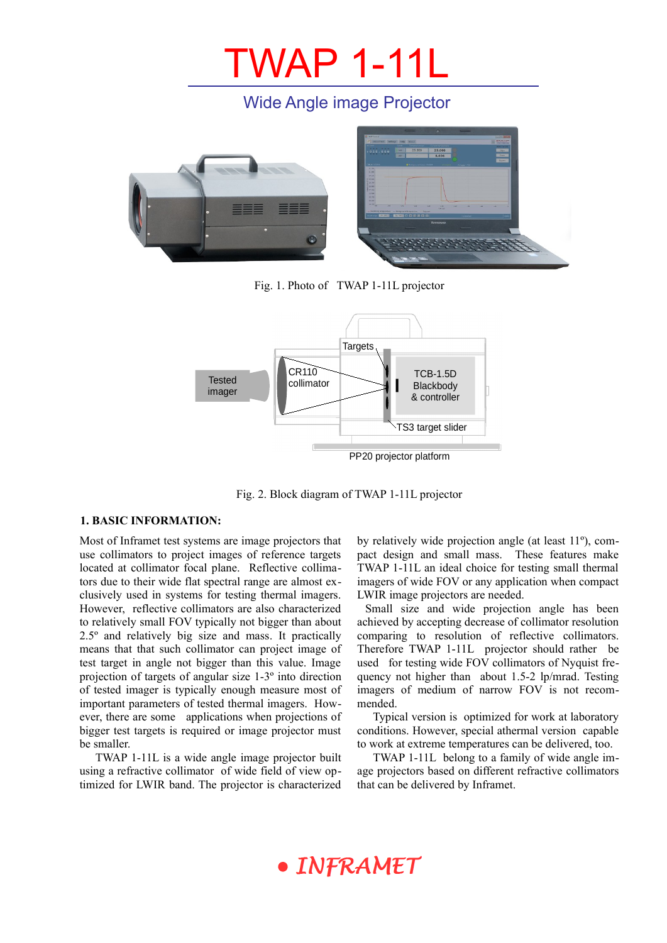## TWAP 1-11L

### Wide Angle image Projector



Fig. 1. Photo of TWAP 1-11L projector



Fig. 2. Block diagram of TWAP 1-11L projector

#### **1. BASIC INFORMATION:**

Most of Inframet test systems are image projectors that use collimators to project images of reference targets located at collimator focal plane. Reflective collimators due to their wide flat spectral range are almost exclusively used in systems for testing thermal imagers. However, reflective collimators are also characterized to relatively small FOV typically not bigger than about 2.5º and relatively big size and mass. It practically means that that such collimator can project image of test target in angle not bigger than this value. Image projection of targets of angular size 1-3º into direction of tested imager is typically enough measure most of important parameters of tested thermal imagers. However, there are some applications when projections of bigger test targets is required or image projector must be smaller.

TWAP 1-11L is a wide angle image projector built using a refractive collimator of wide field of view optimized for LWIR band. The projector is characterized by relatively wide projection angle (at least 11º), compact design and small mass. These features make TWAP 1-11L an ideal choice for testing small thermal imagers of wide FOV or any application when compact LWIR image projectors are needed.

 Small size and wide projection angle has been achieved by accepting decrease of collimator resolution comparing to resolution of reflective collimators. Therefore TWAP 1-11L projector should rather be used for testing wide FOV collimators of Nyquist frequency not higher than about 1.5-2 lp/mrad. Testing imagers of medium of narrow FOV is not recommended.

Typical version is optimized for work at laboratory conditions. However, special athermal version capable to work at extreme temperatures can be delivered, too.

TWAP 1-11L belong to a family of wide angle image projectors based on different refractive collimators that can be delivered by Inframet.

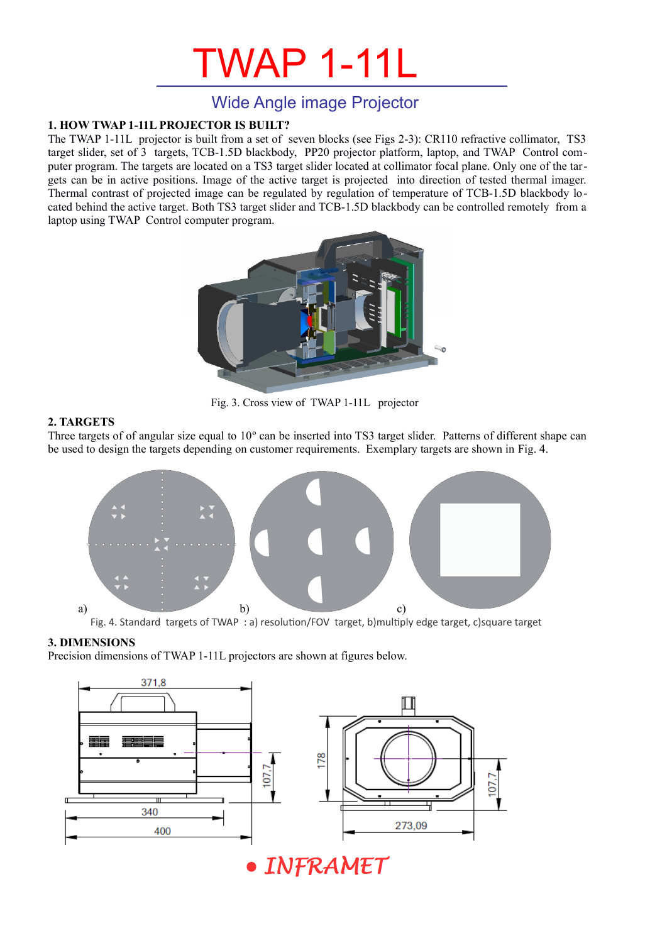# TWAP 1-11L

### Wide Angle image Projector

#### **1. HOW TWAP 1-11L PROJECTOR IS BUILT?**

The TWAP 1-11L projector is built from a set of seven blocks (see Figs 2-3): CR110 refractive collimator, TS3 target slider, set of 3 targets, TCB-1.5D blackbody, PP20 projector platform, laptop, and TWAP Control computer program. The targets are located on a TS3 target slider located at collimator focal plane. Only one of the targets can be in active positions. Image of the active target is projected into direction of tested thermal imager. Thermal contrast of projected image can be regulated by regulation of temperature of TCB-1.5D blackbody located behind the active target. Both TS3 target slider and TCB-1.5D blackbody can be controlled remotely from a laptop using TWAP Control computer program.



Fig. 3. Cross view of TWAP 1-11L projector

#### **2. TARGETS**

Three targets of of angular size equal to 10º can be inserted into TS3 target slider. Patterns of different shape can be used to design the targets depending on customer requirements. Exemplary targets are shown in [Fig. 4.](#page-1-0)



<span id="page-1-0"></span>Fig. 4. Standard targets of TWAP : a) resolution/FOV target, b)multiply edge target, c)square target

#### **3. DIMENSIONS**

Precision dimensions of TWAP 1-11L projectors are shown at figures below.



INFRAMET